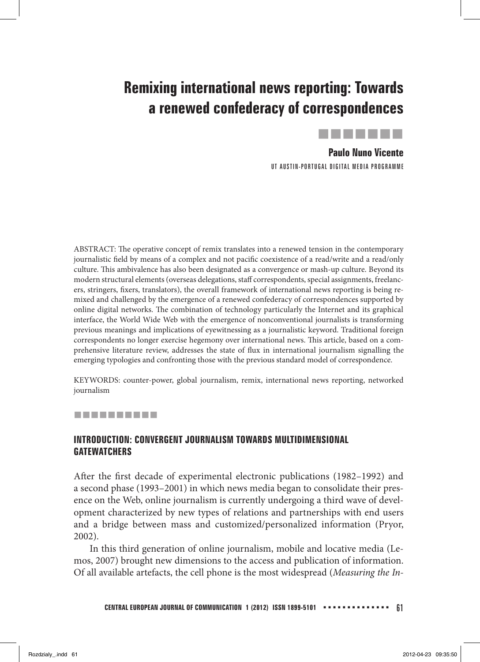# **Remixing international news reporting: Towards a renewed confederacy of correspondences**



## **Paulo Nuno Vicente**

UT AUSTIN-PORTUGAL DIGITAL MEDIA PROGRAMME

ABSTRACT: The operative concept of remix translates into a renewed tension in the contemporary journalistic field by means of a complex and not pacific coexistence of a read/write and a read/only culture. This ambivalence has also been designated as a convergence or mash-up culture. Beyond its modern structural elements (overseas delegations, staff correspondents, special assignments, freelancers, stringers, fixers, translators), the overall framework of international news reporting is being remixed and challenged by the emergence of a renewed confederacy of correspondences supported by online digital networks. The combination of technology particularly the Internet and its graphical interface, the World Wide Web with the emergence of nonconventional journalists is transforming previous meanings and implications of eyewitnessing as a journalistic keyword. Traditional foreign correspondents no longer exercise hegemony over international news. This article, based on a comprehensive literature review, addresses the state of flux in international journalism signalling the emerging typologies and confronting those with the previous standard model of correspondence.

KEYWORDS: counter-power, global journalism, remix, international news reporting, networked journalism

#### ----------

#### **INTRODUCTION: CONVERGENT JOURNALISM TOWARDS MULTIDIMENSIONAL GATEWATCHERS**

After the first decade of experimental electronic publications (1982–1992) and a second phase (1993–2001) in which news media began to consolidate their presence on the Web, online journalism is currently undergoing a third wave of development characterized by new types of relations and partnerships with end users and a bridge between mass and customized/personalized information (Pryor, 2002).

 In this third generation of online journalism, mobile and locative media (Lemos, 2007) brought new dimensions to the access and publication of information. Of all available artefacts, the cell phone is the most widespread (*Measuring the In-*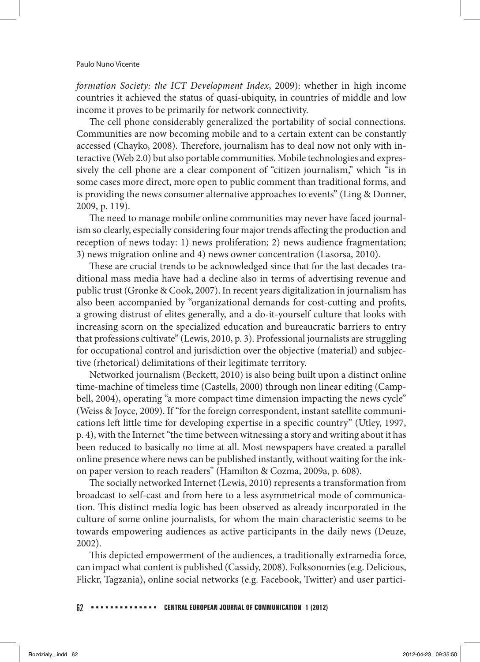*formation Society: the ICT Development Index*, 2009): whether in high income countries it achieved the status of quasi-ubiquity, in countries of middle and low income it proves to be primarily for network connectivity.

The cell phone considerably generalized the portability of social connections. Communities are now becoming mobile and to a certain extent can be constantly accessed (Chayko, 2008). Therefore, journalism has to deal now not only with interactive (Web 2.0) but also portable communities. Mobile technologies and expressively the cell phone are a clear component of "citizen journalism," which "is in some cases more direct, more open to public comment than traditional forms, and is providing the news consumer alternative approaches to events" (Ling & Donner, 2009, p. 119).

The need to manage mobile online communities may never have faced journalism so clearly, especially considering four major trends affecting the production and reception of news today: 1) news proliferation; 2) news audience fragmentation; 3) news migration online and 4) news owner concentration (Lasorsa, 2010).

These are crucial trends to be acknowledged since that for the last decades traditional mass media have had a decline also in terms of advertising revenue and public trust (Gronke & Cook, 2007). In recent years digitalization in journalism has also been accompanied by "organizational demands for cost-cutting and profits, a growing distrust of elites generally, and a do-it-yourself culture that looks with increasing scorn on the specialized education and bureaucratic barriers to entry that professions cultivate" (Lewis, 2010, p. 3). Professional journalists are struggling for occupational control and jurisdiction over the objective (material) and subjective (rhetorical) delimitations of their legitimate territory.

Networked journalism (Beckett, 2010) is also being built upon a distinct online time-machine of timeless time (Castells, 2000) through non linear editing (Campbell, 2004), operating "a more compact time dimension impacting the news cycle" (Weiss & Joyce, 2009). If "for the foreign correspondent, instant satellite communications left little time for developing expertise in a specific country" (Utley, 1997, p. 4), with the Internet "the time between witnessing a story and writing about it has been reduced to basically no time at all. Most newspapers have created a parallel online presence where news can be published instantly, without waiting for the inkon paper version to reach readers" (Hamilton & Cozma, 2009a, p. 608).

The socially networked Internet (Lewis, 2010) represents a transformation from broadcast to self-cast and from here to a less asymmetrical mode of communication. This distinct media logic has been observed as already incorporated in the culture of some online journalists, for whom the main characteristic seems to be towards empowering audiences as active participants in the daily news (Deuze, 2002).

This depicted empowerment of the audiences, a traditionally extramedia force, can impact what content is published (Cassidy, 2008). Folksonomies (e.g. Delicious, Flickr, Tagzania), online social networks (e.g. Facebook, Twitter) and user partici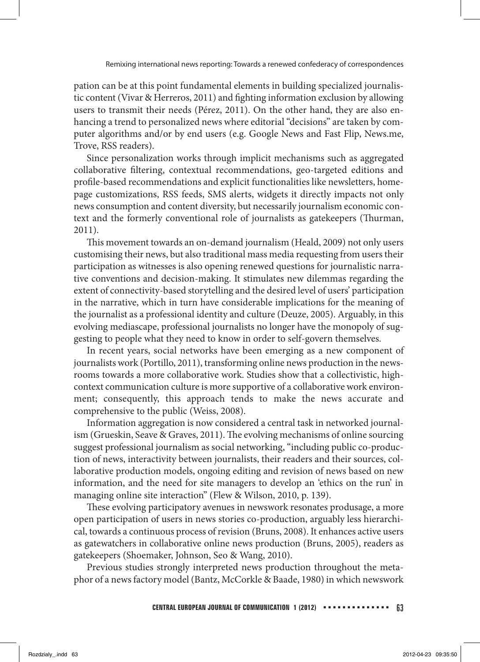pation can be at this point fundamental elements in building specialized journalistic content (Vivar & Herreros, 2011) and fighting information exclusion by allowing users to transmit their needs (Pérez, 2011). On the other hand, they are also enhancing a trend to personalized news where editorial "decisions" are taken by computer algorithms and/or by end users (e.g. Google News and Fast Flip, News.me, Trove, RSS readers).

Since personalization works through implicit mechanisms such as aggregated collaborative filtering, contextual recommendations, geo-targeted editions and profile-based recommendations and explicit functionalities like newsletters, homepage customizations, RSS feeds, SMS alerts, widgets it directly impacts not only news consumption and content diversity, but necessarily journalism economic context and the formerly conventional role of journalists as gatekeepers (Thurman, 2011).

This movement towards an on-demand journalism (Heald, 2009) not only users customising their news, but also traditional mass media requesting from users their participation as witnesses is also opening renewed questions for journalistic narrative conventions and decision-making. It stimulates new dilemmas regarding the extent of connectivity-based storytelling and the desired level of users' participation in the narrative, which in turn have considerable implications for the meaning of the journalist as a professional identity and culture (Deuze, 2005). Arguably, in this evolving mediascape, professional journalists no longer have the monopoly of suggesting to people what they need to know in order to self-govern themselves.

In recent years, social networks have been emerging as a new component of journalists work (Portillo, 2011), transforming online news production in the newsrooms towards a more collaborative work. Studies show that a collectivistic, highcontext communication culture is more supportive of a collaborative work environment; consequently, this approach tends to make the news accurate and comprehensive to the public (Weiss, 2008).

Information aggregation is now considered a central task in networked journalism (Grueskin, Seave & Graves, 2011). The evolving mechanisms of online sourcing suggest professional journalism as social networking, "including public co-production of news, interactivity between journalists, their readers and their sources, collaborative production models, ongoing editing and revision of news based on new information, and the need for site managers to develop an 'ethics on the run' in managing online site interaction" (Flew & Wilson, 2010, p. 139).

These evolving participatory avenues in newswork resonates produsage, a more open participation of users in news stories co-production, arguably less hierarchical, towards a continuous process of revision (Bruns, 2008). It enhances active users as gatewatchers in collaborative online news production (Bruns, 2005), readers as gatekeepers (Shoemaker, Johnson, Seo & Wang, 2010).

Previous studies strongly interpreted news production throughout the metaphor of a news factory model (Bantz, McCorkle & Baade, 1980) in which newswork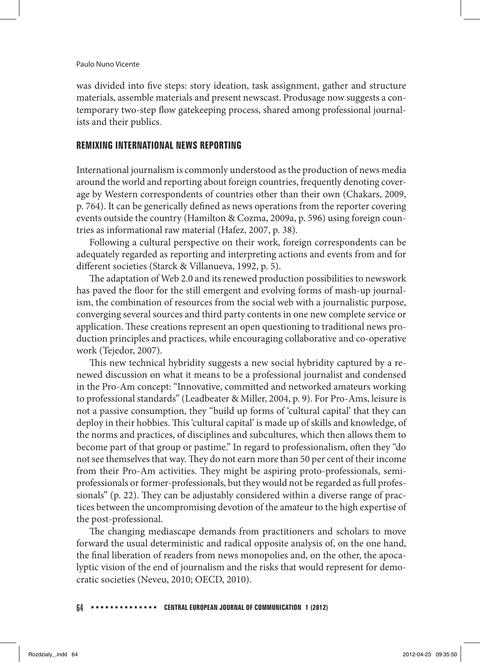was divided into five steps: story ideation, task assignment, gather and structure materials, assemble materials and present newscast. Produsage now suggests a contemporary two-step flow gatekeeping process, shared among professional journalists and their publics.

## **REMIXING INTERNATIONAL NEWS REPORTING**

International journalism is commonly understood as the production of news media around the world and reporting about foreign countries, frequently denoting coverage by Western correspondents of countries other than their own (Chakars, 2009, p. 764). It can be generically defined as news operations from the reporter covering events outside the country (Hamilton & Cozma, 2009a, p. 596) using foreign countries as informational raw material (Hafez, 2007, p. 38).

Following a cultural perspective on their work, foreign correspondents can be adequately regarded as reporting and interpreting actions and events from and for different societies (Starck & Villanueva, 1992, p. 5).

The adaptation of Web 2.0 and its renewed production possibilities to newswork has paved the floor for the still emergent and evolving forms of mash-up journalism, the combination of resources from the social web with a journalistic purpose, converging several sources and third party contents in one new complete service or application. These creations represent an open questioning to traditional news production principles and practices, while encouraging collaborative and co-operative work (Tejedor, 2007).

This new technical hybridity suggests a new social hybridity captured by a renewed discussion on what it means to be a professional journalist and condensed in the Pro-Am concept: "Innovative, committed and networked amateurs working to professional standards" (Leadbeater & Miller, 2004, p. 9). For Pro-Ams, leisure is not a passive consumption, they "build up forms of 'cultural capital' that they can deploy in their hobbies. This 'cultural capital' is made up of skills and knowledge, of the norms and practices, of disciplines and subcultures, which then allows them to become part of that group or pastime." In regard to professionalism, often they "do not see themselves that way. They do not earn more than 50 per cent of their income from their Pro-Am activities. They might be aspiring proto-professionals, semiprofessionals or former-professionals, but they would not be regarded as full professionals" (p. 22). They can be adjustably considered within a diverse range of practices between the uncompromising devotion of the amateur to the high expertise of the post-professional.

The changing mediascape demands from practitioners and scholars to move forward the usual deterministic and radical opposite analysis of, on the one hand, the final liberation of readers from news monopolies and, on the other, the apocalyptic vision of the end of journalism and the risks that would represent for democratic societies (Neveu, 2010; OECD, 2010).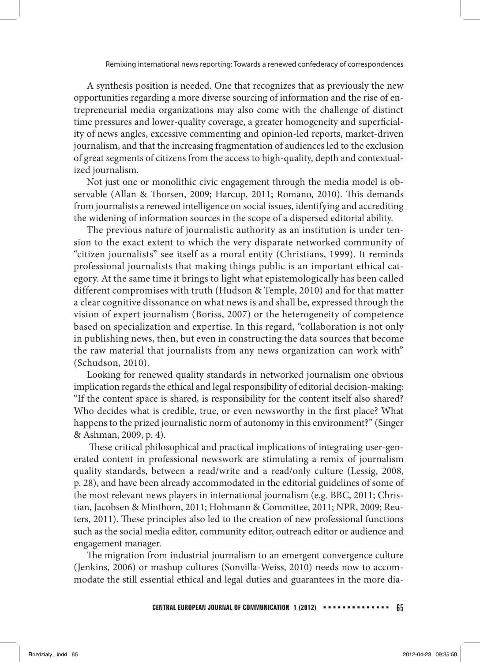A synthesis position is needed. One that recognizes that as previously the new opportunities regarding a more diverse sourcing of information and the rise of entrepreneurial media organizations may also come with the challenge of distinct time pressures and lower-quality coverage, a greater homogeneity and superficiality of news angles, excessive commenting and opinion-led reports, market-driven journalism, and that the increasing fragmentation of audiences led to the exclusion of great segments of citizens from the access to high-quality, depth and contextualized journalism.

Not just one or monolithic civic engagement through the media model is observable (Allan & Thorsen, 2009; Harcup, 2011; Romano, 2010). This demands from journalists a renewed intelligence on social issues, identifying and accrediting the widening of information sources in the scope of a dispersed editorial ability.

The previous nature of journalistic authority as an institution is under tension to the exact extent to which the very disparate networked community of "citizen journalists" see itself as a moral entity (Christians, 1999). It reminds professional journalists that making things public is an important ethical category. At the same time it brings to light what epistemologically has been called different compromises with truth (Hudson & Temple, 2010) and for that matter a clear cognitive dissonance on what news is and shall be, expressed through the vision of expert journalism (Boriss, 2007) or the heterogeneity of competence based on specialization and expertise. In this regard, "collaboration is not only in publishing news, then, but even in constructing the data sources that become the raw material that journalists from any news organization can work with" (Schudson, 2010).

Looking for renewed quality standards in networked journalism one obvious implication regards the ethical and legal responsibility of editorial decision-making: "If the content space is shared, is responsibility for the content itself also shared? Who decides what is credible, true, or even newsworthy in the first place? What happens to the prized journalistic norm of autonomy in this environment?" (Singer & Ashman, 2009, p. 4).

 These critical philosophical and practical implications of integrating user-generated content in professional newswork are stimulating a remix of journalism quality standards, between a read/write and a read/only culture (Lessig, 2008, p. 28), and have been already accommodated in the editorial guidelines of some of the most relevant news players in international journalism (e.g. BBC, 2011; Christian, Jacobsen & Minthorn, 2011; Hohmann & Committee, 2011; NPR, 2009; Reuters, 2011). These principles also led to the creation of new professional functions such as the social media editor, community editor, outreach editor or audience and engagement manager.

The migration from industrial journalism to an emergent convergence culture (Jenkins, 2006) or mashup cultures (Sonvilla-Weiss, 2010) needs now to accommodate the still essential ethical and legal duties and guarantees in the more dia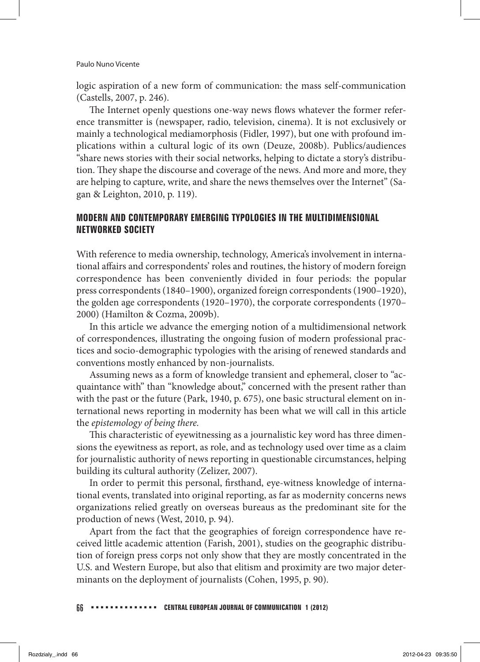logic aspiration of a new form of communication: the mass self-communication (Castells, 2007, p. 246).

The Internet openly questions one-way news flows whatever the former reference transmitter is (newspaper, radio, television, cinema). It is not exclusively or mainly a technological mediamorphosis (Fidler, 1997), but one with profound implications within a cultural logic of its own (Deuze, 2008b). Publics/audiences "share news stories with their social networks, helping to dictate a story's distribution. They shape the discourse and coverage of the news. And more and more, they are helping to capture, write, and share the news themselves over the Internet" (Sagan & Leighton, 2010, p. 119).

## **MODERN AND CONTEMPORARY EMERGING TYPOLOGIES IN THE MULTIDIMENSIONAL NETWORKED SOCIETY**

With reference to media ownership, technology, America's involvement in international affairs and correspondents' roles and routines, the history of modern foreign correspondence has been conveniently divided in four periods: the popular press correspondents (1840–1900), organized foreign correspondents (1900–1920), the golden age correspondents (1920–1970), the corporate correspondents (1970– 2000) (Hamilton & Cozma, 2009b).

In this article we advance the emerging notion of a multidimensional network of correspondences, illustrating the ongoing fusion of modern professional practices and socio-demographic typologies with the arising of renewed standards and conventions mostly enhanced by non-journalists.

Assuming news as a form of knowledge transient and ephemeral, closer to "acquaintance with" than "knowledge about," concerned with the present rather than with the past or the future (Park, 1940, p. 675), one basic structural element on international news reporting in modernity has been what we will call in this article the *epistemology of being there.*

This characteristic of eyewitnessing as a journalistic key word has three dimensions the eyewitness as report, as role, and as technology used over time as a claim for journalistic authority of news reporting in questionable circumstances, helping building its cultural authority (Zelizer, 2007).

In order to permit this personal, firsthand, eye-witness knowledge of international events, translated into original reporting, as far as modernity concerns news organizations relied greatly on overseas bureaus as the predominant site for the production of news (West, 2010, p. 94).

Apart from the fact that the geographies of foreign correspondence have received little academic attention (Farish, 2001), studies on the geographic distribution of foreign press corps not only show that they are mostly concentrated in the U.S. and Western Europe, but also that elitism and proximity are two major determinants on the deployment of journalists (Cohen, 1995, p. 90).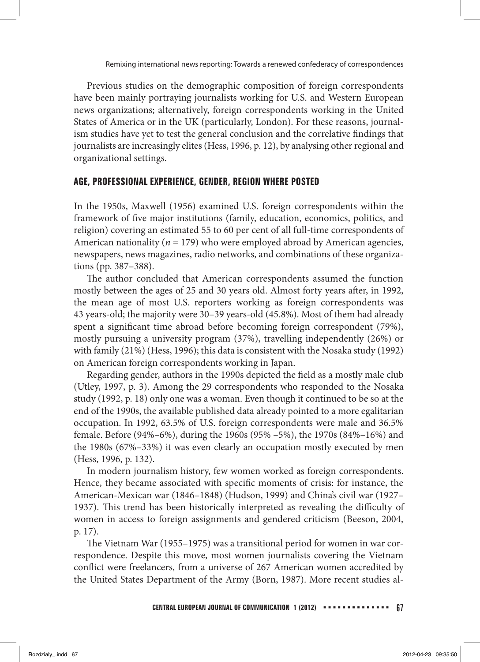Previous studies on the demographic composition of foreign correspondents have been mainly portraying journalists working for U.S. and Western European news organizations; alternatively, foreign correspondents working in the United States of America or in the UK (particularly, London). For these reasons, journalism studies have yet to test the general conclusion and the correlative findings that journalists are increasingly elites (Hess, 1996, p. 12), by analysing other regional and organizational settings.

#### **AGE, PROFESSIONAL EXPERIENCE, GENDER, REGION WHERE POSTED**

In the 1950s, Maxwell (1956) examined U.S. foreign correspondents within the framework of five major institutions (family, education, economics, politics, and religion) covering an estimated 55 to 60 per cent of all full-time correspondents of American nationality (*n* = 179) who were employed abroad by American agencies, newspapers, news magazines, radio networks, and combinations of these organizations (pp. 387–388).

The author concluded that American correspondents assumed the function mostly between the ages of 25 and 30 years old. Almost forty years after, in 1992, the mean age of most U.S. reporters working as foreign correspondents was 43 years-old; the majority were 30–39 years-old (45.8%). Most of them had already spent a significant time abroad before becoming foreign correspondent (79%), mostly pursuing a university program (37%), travelling independently (26%) or with family (21%) (Hess, 1996); this data is consistent with the Nosaka study (1992) on American foreign correspondents working in Japan.

Regarding gender, authors in the 1990s depicted the field as a mostly male club (Utley, 1997, p. 3). Among the 29 correspondents who responded to the Nosaka study (1992, p. 18) only one was a woman. Even though it continued to be so at the end of the 1990s, the available published data already pointed to a more egalitarian occupation. In 1992, 63.5% of U.S. foreign correspondents were male and 36.5% female. Before (94%–6%), during the 1960s (95% –5%), the 1970s (84%–16%) and the 1980s (67%–33%) it was even clearly an occupation mostly executed by men (Hess, 1996, p. 132).

In modern journalism history, few women worked as foreign correspondents. Hence, they became associated with specific moments of crisis: for instance, the American-Mexican war (1846–1848) (Hudson, 1999) and China's civil war (1927– 1937). This trend has been historically interpreted as revealing the difficulty of women in access to foreign assignments and gendered criticism (Beeson, 2004, p. 17).

The Vietnam War (1955–1975) was a transitional period for women in war correspondence. Despite this move, most women journalists covering the Vietnam conflict were freelancers, from a universe of 267 American women accredited by the United States Department of the Army (Born, 1987). More recent studies al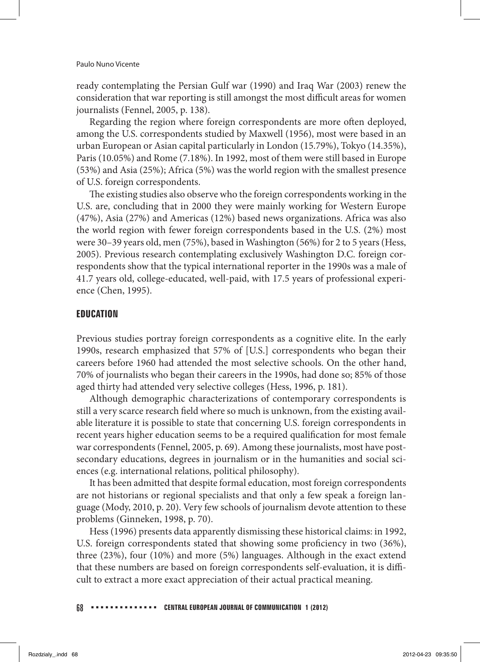ready contemplating the Persian Gulf war (1990) and Iraq War (2003) renew the consideration that war reporting is still amongst the most difficult areas for women journalists (Fennel, 2005, p. 138).

Regarding the region where foreign correspondents are more often deployed, among the U.S. correspondents studied by Maxwell (1956), most were based in an urban European or Asian capital particularly in London (15.79%), Tokyo (14.35%), Paris (10.05%) and Rome (7.18%). In 1992, most of them were still based in Europe (53%) and Asia (25%); Africa (5%) was the world region with the smallest presence of U.S. foreign correspondents.

The existing studies also observe who the foreign correspondents working in the U.S. are, concluding that in 2000 they were mainly working for Western Europe (47%), Asia (27%) and Americas (12%) based news organizations. Africa was also the world region with fewer foreign correspondents based in the U.S. (2%) most were 30–39 years old, men (75%), based in Washington (56%) for 2 to 5 years (Hess, 2005). Previous research contemplating exclusively Washington D.C. foreign correspondents show that the typical international reporter in the 1990s was a male of 41.7 years old, college-educated, well-paid, with 17.5 years of professional experience (Chen, 1995).

#### **EDUCATION**

Previous studies portray foreign correspondents as a cognitive elite. In the early 1990s, research emphasized that 57% of [U.S.] correspondents who began their careers before 1960 had attended the most selective schools. On the other hand, 70% of journalists who began their careers in the 1990s, had done so; 85% of those aged thirty had attended very selective colleges (Hess, 1996, p. 181).

Although demographic characterizations of contemporary correspondents is still a very scarce research field where so much is unknown, from the existing available literature it is possible to state that concerning U.S. foreign correspondents in recent years higher education seems to be a required qualification for most female war correspondents (Fennel, 2005, p. 69). Among these journalists, most have postsecondary educations, degrees in journalism or in the humanities and social sciences (e.g. international relations, political philosophy).

It has been admitted that despite formal education, most foreign correspondents are not historians or regional specialists and that only a few speak a foreign language (Mody, 2010, p. 20). Very few schools of journalism devote attention to these problems (Ginneken, 1998, p. 70).

Hess (1996) presents data apparently dismissing these historical claims: in 1992, U.S. foreign correspondents stated that showing some proficiency in two (36%), three (23%), four (10%) and more (5%) languages. Although in the exact extend that these numbers are based on foreign correspondents self-evaluation, it is difficult to extract a more exact appreciation of their actual practical meaning.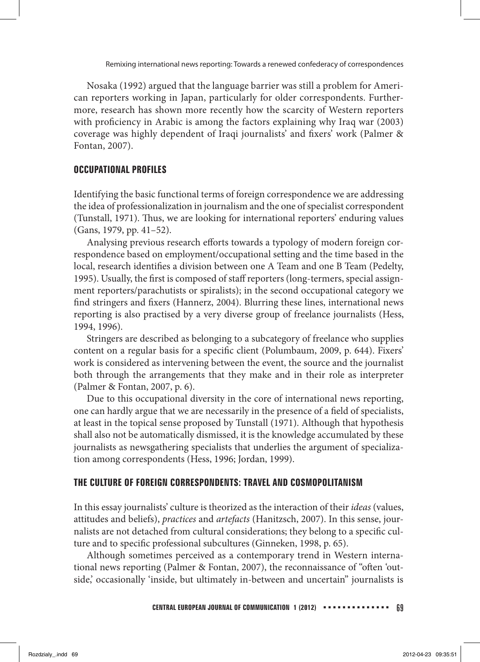Nosaka (1992) argued that the language barrier was still a problem for American reporters working in Japan, particularly for older correspondents. Furthermore, research has shown more recently how the scarcity of Western reporters with proficiency in Arabic is among the factors explaining why Iraq war (2003) coverage was highly dependent of Iraqi journalists' and fixers' work (Palmer & Fontan, 2007).

### **OCCUPATIONAL PROFILES**

Identifying the basic functional terms of foreign correspondence we are addressing the idea of professionalization in journalism and the one of specialist correspondent (Tunstall, 1971). Thus, we are looking for international reporters' enduring values (Gans, 1979, pp. 41–52).

Analysing previous research efforts towards a typology of modern foreign correspondence based on employment/occupational setting and the time based in the local, research identifies a division between one A Team and one B Team (Pedelty, 1995). Usually, the first is composed of staff reporters (long-termers, special assignment reporters/parachutists or spiralists); in the second occupational category we find stringers and fixers (Hannerz, 2004). Blurring these lines, international news reporting is also practised by a very diverse group of freelance journalists (Hess, 1994, 1996).

Stringers are described as belonging to a subcategory of freelance who supplies content on a regular basis for a specific client (Polumbaum, 2009, p. 644). Fixers' work is considered as intervening between the event, the source and the journalist both through the arrangements that they make and in their role as interpreter (Palmer & Fontan, 2007, p. 6).

Due to this occupational diversity in the core of international news reporting, one can hardly argue that we are necessarily in the presence of a field of specialists, at least in the topical sense proposed by Tunstall (1971). Although that hypothesis shall also not be automatically dismissed, it is the knowledge accumulated by these journalists as newsgathering specialists that underlies the argument of specialization among correspondents (Hess, 1996; Jordan, 1999).

#### **THE CULTURE OF FOREIGN CORRESPONDENTS: TRAVEL AND COSMOPOLITANISM**

In this essay journalists' culture is theorized as the interaction of their *ideas* (values, attitudes and beliefs), *practices* and *artefacts* (Hanitzsch, 2007). In this sense, journalists are not detached from cultural considerations; they belong to a specific culture and to specific professional subcultures (Ginneken, 1998, p. 65).

Although sometimes perceived as a contemporary trend in Western international news reporting (Palmer & Fontan, 2007), the reconnaissance of "often 'outside,' occasionally 'inside, but ultimately in-between and uncertain" journalists is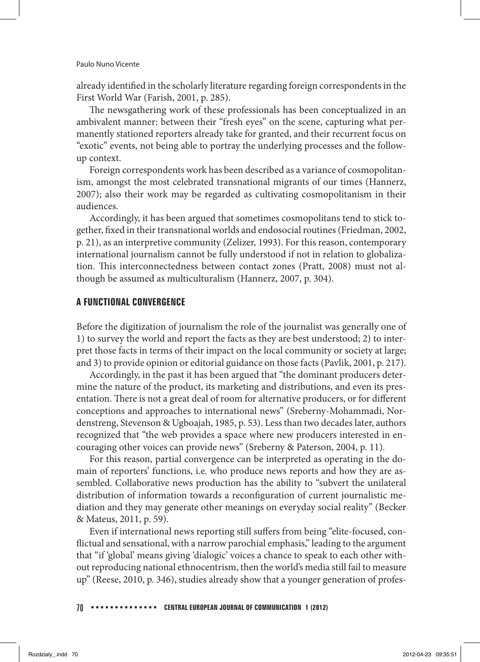already identified in the scholarly literature regarding foreign correspondents in the First World War (Farish, 2001, p. 285).

The newsgathering work of these professionals has been conceptualized in an ambivalent manner: between their "fresh eyes" on the scene, capturing what permanently stationed reporters already take for granted, and their recurrent focus on "exotic" events, not being able to portray the underlying processes and the followup context.

Foreign correspondents work has been described as a variance of cosmopolitanism, amongst the most celebrated transnational migrants of our times (Hannerz, 2007); also their work may be regarded as cultivating cosmopolitanism in their audiences.

Accordingly, it has been argued that sometimes cosmopolitans tend to stick together, fixed in their transnational worlds and endosocial routines (Friedman, 2002, p. 21), as an interpretive community (Zelizer, 1993). For this reason, contemporary international journalism cannot be fully understood if not in relation to globalization. This interconnectedness between contact zones (Pratt, 2008) must not although be assumed as multiculturalism (Hannerz, 2007, p. 304).

#### **A FUNCTIONAL CONVERGENCE**

Before the digitization of journalism the role of the journalist was generally one of 1) to survey the world and report the facts as they are best understood; 2) to interpret those facts in terms of their impact on the local community or society at large; and 3) to provide opinion or editorial guidance on those facts (Pavlik, 2001, p. 217).

Accordingly, in the past it has been argued that "the dominant producers determine the nature of the product, its marketing and distributions, and even its presentation. There is not a great deal of room for alternative producers, or for different conceptions and approaches to international news" (Sreberny-Mohammadi, Nordenstreng, Stevenson & Ugboajah, 1985, p. 53). Less than two decades later, authors recognized that "the web provides a space where new producers interested in encouraging other voices can provide news" (Sreberny & Paterson, 2004, p. 11).

For this reason, partial convergence can be interpreted as operating in the domain of reporters' functions, i.e. who produce news reports and how they are assembled. Collaborative news production has the ability to "subvert the unilateral distribution of information towards a reconfiguration of current journalistic mediation and they may generate other meanings on everyday social reality" (Becker & Mateus, 2011, p. 59).

Even if international news reporting still suffers from being "elite-focused, conflictual and sensational, with a narrow parochial emphasis," leading to the argument that "if 'global' means giving 'dialogic' voices a chance to speak to each other without reproducing national ethnocentrism, then the world's media still fail to measure up" (Reese, 2010, p. 346), studies already show that a younger generation of profes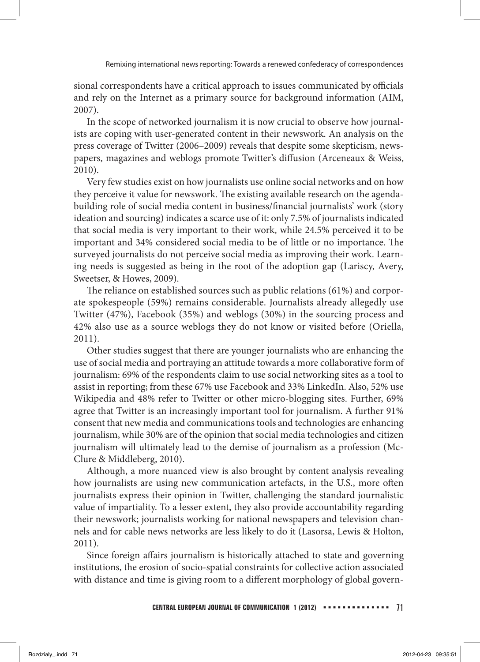sional correspondents have a critical approach to issues communicated by officials and rely on the Internet as a primary source for background information (AIM, 2007).

In the scope of networked journalism it is now crucial to observe how journalists are coping with user-generated content in their newswork. An analysis on the press coverage of Twitter (2006–2009) reveals that despite some skepticism, newspapers, magazines and weblogs promote Twitter's diffusion (Arceneaux & Weiss, 2010).

Very few studies exist on how journalists use online social networks and on how they perceive it value for newswork. The existing available research on the agendabuilding role of social media content in business/financial journalists' work (story ideation and sourcing) indicates a scarce use of it: only 7.5% of journalists indicated that social media is very important to their work, while 24.5% perceived it to be important and 34% considered social media to be of little or no importance. The surveyed journalists do not perceive social media as improving their work. Learning needs is suggested as being in the root of the adoption gap (Lariscy, Avery, Sweetser, & Howes, 2009).

The reliance on established sources such as public relations (61%) and corporate spokespeople (59%) remains considerable. Journalists already allegedly use Twitter (47%), Facebook (35%) and weblogs (30%) in the sourcing process and 42% also use as a source weblogs they do not know or visited before (Oriella, 2011).

Other studies suggest that there are younger journalists who are enhancing the use of social media and portraying an attitude towards a more collaborative form of journalism: 69% of the respondents claim to use social networking sites as a tool to assist in reporting; from these 67% use Facebook and 33% LinkedIn. Also, 52% use Wikipedia and 48% refer to Twitter or other micro-blogging sites. Further, 69% agree that Twitter is an increasingly important tool for journalism. A further 91% consent that new media and communications tools and technologies are enhancing journalism, while 30% are of the opinion that social media technologies and citizen journalism will ultimately lead to the demise of journalism as a profession (Mc-Clure & Middleberg, 2010).

Although, a more nuanced view is also brought by content analysis revealing how journalists are using new communication artefacts, in the U.S., more often journalists express their opinion in Twitter, challenging the standard journalistic value of impartiality. To a lesser extent, they also provide accountability regarding their newswork; journalists working for national newspapers and television channels and for cable news networks are less likely to do it (Lasorsa, Lewis & Holton, 2011).

Since foreign affairs journalism is historically attached to state and governing institutions, the erosion of socio-spatial constraints for collective action associated with distance and time is giving room to a different morphology of global govern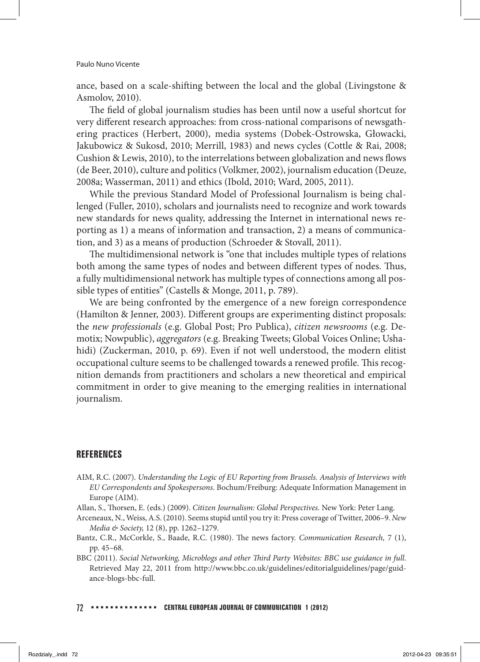ance, based on a scale-shifting between the local and the global (Livingstone & Asmolov, 2010).

The field of global journalism studies has been until now a useful shortcut for very different research approaches: from cross-national comparisons of newsgathering practices (Herbert, 2000), media systems (Dobek-Ostrowska, Głowacki, Jakubowicz & Sukosd, 2010; Merrill, 1983) and news cycles (Cottle & Rai, 2008; Cushion & Lewis, 2010), to the interrelations between globalization and news flows (de Beer, 2010), culture and politics (Volkmer, 2002), journalism education (Deuze, 2008a; Wasserman, 2011) and ethics (Ibold, 2010; Ward, 2005, 2011).

While the previous Standard Model of Professional Journalism is being challenged (Fuller, 2010), scholars and journalists need to recognize and work towards new standards for news quality, addressing the Internet in international news reporting as 1) a means of information and transaction, 2) a means of communication, and 3) as a means of production (Schroeder & Stovall, 2011).

The multidimensional network is "one that includes multiple types of relations both among the same types of nodes and between different types of nodes. Thus, a fully multidimensional network has multiple types of connections among all possible types of entities" (Castells & Monge, 2011, p. 789).

We are being confronted by the emergence of a new foreign correspondence (Hamilton & Jenner, 2003). Different groups are experimenting distinct proposals: the *new professionals* (e.g. Global Post; Pro Publica), *citizen newsrooms* (e.g. Demotix; Nowpublic), *aggregators* (e.g. Breaking Tweets; Global Voices Online; Ushahidi) (Zuckerman, 2010, p. 69). Even if not well understood, the modern elitist occupational culture seems to be challenged towards a renewed profile. This recognition demands from practitioners and scholars a new theoretical and empirical commitment in order to give meaning to the emerging realities in international journalism.

#### **REFERENCES**

AIM, R.C. (2007). *Understanding the Logic of EU Reporting from Brussels. Analysis of Interviews with EU Correspondents and Spokespersons*. Bochum/Freiburg: Adequate Information Management in Europe (AIM).

Allan, S., Thorsen, E. (eds.) (2009). *Citizen Journalism: Global Perspectives*. New York: Peter Lang.

- Arceneaux, N., Weiss, A.S. (2010). Seems stupid until you try it: Press coverage of Twitter, 2006–9. *New Media & Society,* 12 (8), pp. 1262–1279.
- Bantz, C.R., McCorkle, S., Baade, R.C. (1980). The news factory. *Communication Research,* 7 (1), pp. 45–68.
- BBC (2011). *Social Networking, Microblogs and other Third Party Websites: BBC use guidance in full*. Retrieved May 22, 2011 from http://www.bbc.co.uk/guidelines/editorialguidelines/page/guidance-blogs-bbc-full.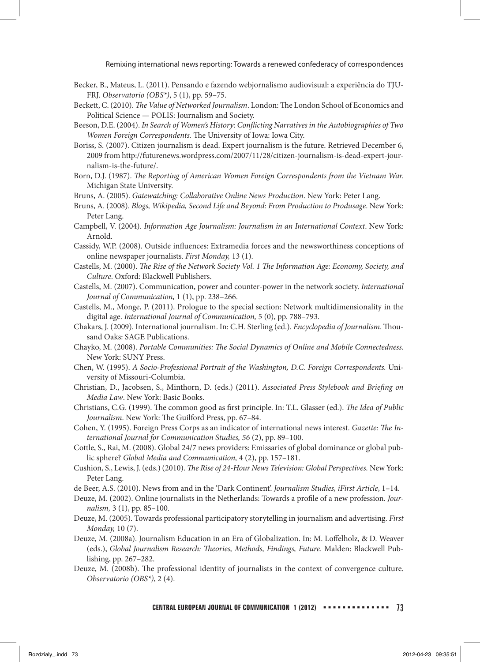- Becker, B., Mateus, L. (2011). Pensando e fazendo webjornalismo audiovisual: a experiência do TJU-FRJ. *Observatorio (OBS\*)*, 5 (1), pp. 59–75.
- Beckett, C. (2010). *The Value of Networked Journalism*. London: The London School of Economics and Political Science — POLIS: Journalism and Society.
- Beeson, D.E. (2004). *In Search of Women's History: Conflicting Narratives in the Autobiographies of Two Women Foreign Correspondents.* The University of Iowa: Iowa City.
- Boriss, S. (2007). Citizen journalism is dead. Expert journalism is the future. Retrieved December 6, 2009 from http://futurenews.wordpress.com/2007/11/28/citizen-journalism-is-dead-expert-journalism-is-the-future/.
- Born, D.J. (1987). *The Reporting of American Women Foreign Correspondents from the Vietnam War.* Michigan State University.
- Bruns, A. (2005). *Gatewatching: Collaborative Online News Production*. New York: Peter Lang.
- Bruns, A. (2008). *Blogs, Wikipedia, Second Life and Beyond: From Production to Produsage*. New York: Peter Lang.
- Campbell, V. (2004). *Information Age Journalism: Journalism in an International Context*. New York: Arnold.
- Cassidy, W.P. (2008). Outside influences: Extramedia forces and the newsworthiness conceptions of online newspaper journalists. *First Monday,* 13 (1).
- Castells, M. (2000). *The Rise of the Network Society Vol. 1 The Information Age: Economy, Society, and Culture*. Oxford: Blackwell Publishers.
- Castells, M. (2007). Communication, power and counter-power in the network society. *International Journal of Communication,* 1 (1), pp. 238–266.
- Castells, M., Monge, P. (2011). Prologue to the special section: Network multidimensionality in the digital age. *International Journal of Communication,* 5 (0), pp. 788–793.
- Chakars, J. (2009). International journalism. In: C.H. Sterling (ed.). *Encyclopedia of Journalism*. Thousand Oaks: SAGE Publications.
- Chayko, M. (2008). *Portable Communities: The Social Dynamics of Online and Mobile Connectedness*. New York: SUNY Press.
- Chen, W. (1995). *A Socio-Professional Portrait of the Washington, D.C. Foreign Correspondents.* University of Missouri-Columbia.
- Christian, D., Jacobsen, S., Minthorn, D. (eds.) (2011). *Associated Press Stylebook and Briefing on Media Law*. New York: Basic Books.
- Christians, C.G. (1999). The common good as first principle. In: T.L. Glasser (ed.). *The Idea of Public Journalism*. New York: The Guilford Press, pp. 67–84.
- Cohen, Y. (1995). Foreign Press Corps as an indicator of international news interest. *Gazette: The International Journal for Communication Studies, 56* (2), pp. 89–100.
- Cottle, S., Rai, M. (2008). Global 24/7 news providers: Emissaries of global dominance or global public sphere? *Global Media and Communication,* 4 (2), pp. 157–181.
- Cushion, S., Lewis, J. (eds.) (2010). *The Rise of 24-Hour News Television: Global Perspectives.* New York: Peter Lang.
- de Beer, A.S. (2010). News from and in the 'Dark Continent'. *Journalism Studies, iFirst Article*, 1–14.
- Deuze, M. (2002). Online journalists in the Netherlands: Towards a profile of a new profession. *Journalism,* 3 (1), pp. 85–100.
- Deuze, M. (2005). Towards professional participatory storytelling in journalism and advertising. *First Monday,* 10 (7).
- Deuze, M. (2008a). Journalism Education in an Era of Globalization. In: M. Loffelholz, & D. Weaver (eds.), *Global Journalism Research: Theories, Methods, Findings, Future*. Malden: Blackwell Publishing, pp. 267–282.
- Deuze, M. (2008b). The professional identity of journalists in the context of convergence culture. *Observatorio (OBS\*)*, 2 (4).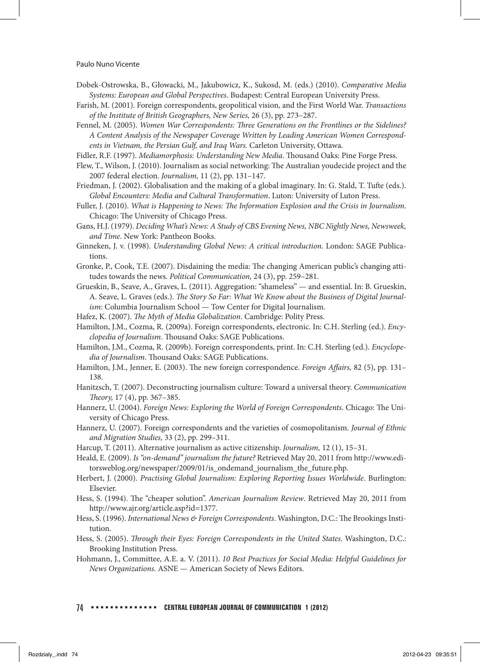#### Paulo Nuno Vicente

- Dobek-Ostrowska, B., Głowacki, M., Jakubowicz, K., Sukosd, M. (eds.) (2010). *Comparative Media Systems: European and Global Perspectives*. Budapest: Central European University Press.
- Farish, M. (2001). Foreign correspondents, geopolitical vision, and the First World War. *Transactions of the Institute of British Geographers, New Series,* 26 (3), pp. 273–287.
- Fennel, M. (2005). *Women War Correspondents: Three Generations on the Frontlines or the Sidelines? A Content Analysis of the Newspaper Coverage Written by Leading American Women Correspondents in Vietnam, the Persian Gulf, and Iraq Wars.* Carleton University, Ottawa.
- Fidler, R.F. (1997). *Mediamorphosis: Understanding New Media*. Thousand Oaks: Pine Forge Press.
- Flew, T., Wilson, J. (2010). Journalism as social networking: The Australian youdecide project and the 2007 federal election. *Journalism,* 11 (2), pp. 131–147.
- Friedman, J. (2002). Globalisation and the making of a global imaginary. In: G. Stald, T. Tufte (eds.). *Global Encounters: Media and Cultural Transformation*. Luton: University of Luton Press.
- Fuller, J. (2010). *What is Happening to News: The Information Explosion and the Crisis in Journalism*. Chicago: The University of Chicago Press.
- Gans, H.J. (1979). *Deciding What's News: A Study of CBS Evening News, NBC Nightly News, Newsweek, and Time*. New York: Pantheon Books.
- Ginneken, J. v. (1998). *Understanding Global News: A critical introduction*. London: SAGE Publications.
- Gronke, P., Cook, T.E. (2007). Disdaining the media: The changing American public's changing attitudes towards the news. *Political Communication,* 24 (3), pp. 259–281.
- Grueskin, B., Seave, A., Graves, L. (2011). Aggregation: "shameless" and essential. In: B. Grueskin, A. Seave, L. Graves (eds.). *The Story So Far: What We Know about the Business of Digital Journalism*: Columbia Journalism School — Tow Center for Digital Journalism.
- Hafez, K. (2007). *The Myth of Media Globalization*. Cambridge: Polity Press.
- Hamilton, J.M., Cozma, R. (2009a). Foreign correspondents, electronic. In: C.H. Sterling (ed.). *Encyclopedia of Journalism*. Thousand Oaks: SAGE Publications.
- Hamilton, J.M., Cozma, R. (2009b). Foreign correspondents, print. In: C.H. Sterling (ed.). *Encyclopedia of Journalism*. Thousand Oaks: SAGE Publications.
- Hamilton, J.M., Jenner, E. (2003). The new foreign correspondence. *Foreign Affairs,* 82 (5), pp. 131– 138.
- Hanitzsch, T. (2007). Deconstructing journalism culture: Toward a universal theory. *Communication Theory,* 17 (4), pp. 367–385.
- Hannerz, U. (2004). *Foreign News: Exploring the World of Foreign Correspondents*. Chicago: The University of Chicago Press.
- Hannerz, U. (2007). Foreign correspondents and the varieties of cosmopolitanism. *Journal of Ethnic and Migration Studies,* 33 (2), pp. 299–311.
- Harcup, T. (2011). Alternative journalism as active citizenship. *Journalism,* 12 (1), 15–31.
- Heald, E. (2009). *Is "on-demand" journalism the future?* Retrieved May 20, 2011 from http://www.editorsweblog.org/newspaper/2009/01/is\_ondemand\_journalism\_the\_future.php.
- Herbert, J. (2000). *Practising Global Journalism: Exploring Reporting Issues Worldwide*. Burlington: Elsevier.
- Hess, S. (1994). The "cheaper solution". *American Journalism Review*. Retrieved May 20, 2011 from http://www.ajr.org/article.asp?id=1377.
- Hess, S. (1996). *International News & Foreign Correspondents*. Washington, D.C.: The Brookings Institution.
- Hess, S. (2005). *Through their Eyes: Foreign Correspondents in the United States*. Washington, D.C.: Brooking Institution Press.
- Hohmann, J., Committee, A.E. a. V. (2011). *10 Best Practices for Social Media: Helpful Guidelines for News Organizations*. ASNE — American Society of News Editors.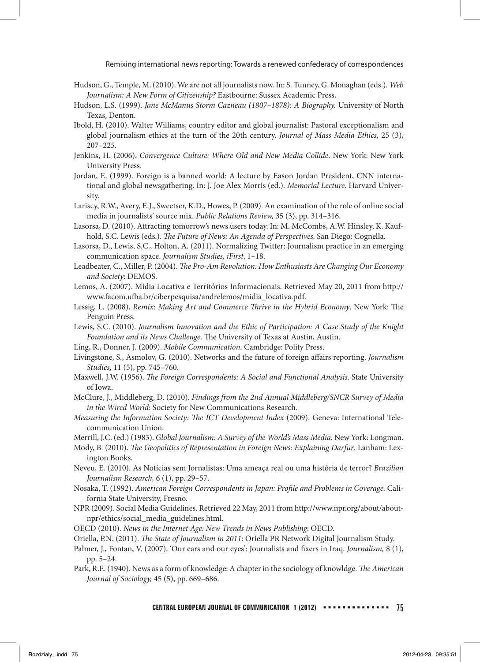- Hudson, G., Temple, M. (2010). We are not all journalists now. In: S. Tunney, G. Monaghan (eds.). *Web Journalism: A New Form of Citizenship?* Eastbourne: Sussex Academic Press.
- Hudson, L.S. (1999). *Jane McManus Storm Cazneau (1807–1878): A Biography.* University of North Texas, Denton.
- Ibold, H. (2010). Walter Williams, country editor and global journalist: Pastoral exceptionalism and global journalism ethics at the turn of the 20th century. *Journal of Mass Media Ethics,* 25 (3), 207–225.
- Jenkins, H. (2006). *Convergence Culture: Where Old and New Media Collide*. New York: New York University Press.
- Jordan, E. (1999). Foreign is a banned world: A lecture by Eason Jordan President, CNN international and global newsgathering. In: J. Joe Alex Morris (ed.). *Memorial Lecture*. Harvard University.
- Lariscy, R.W., Avery, E.J., Sweetser, K.D., Howes, P. (2009). An examination of the role of online social media in journalists' source mix. *Public Relations Review,* 35 (3), pp. 314–316.
- Lasorsa, D. (2010). Attracting tomorrow's news users today. In: M. McCombs, A.W. Hinsley, K. Kaufhold, S.C. Lewis (eds.). *The Future of News: An Agenda of Perspectives*. San Diego: Cognella.
- Lasorsa, D., Lewis, S.C., Holton, A. (2011). Normalizing Twitter: Journalism practice in an emerging communication space. *Journalism Studies, iFirst*, 1–18.
- Leadbeater, C., Miller, P. (2004). *The Pro-Am Revolution: How Enthusiasts Are Changing Our Economy and Society*: DEMOS.
- Lemos, A. (2007). Mídia Locativa e Territórios Informacionais. Retrieved May 20, 2011 from http:// www.facom.ufba.br/ciberpesquisa/andrelemos/midia\_locativa.pdf.
- Lessig, L. (2008). *Remix: Making Art and Commerce Thrive in the Hybrid Economy*. New York: The Penguin Press.
- Lewis, S.C. (2010). *Journalism Innovation and the Ethic of Participation: A Case Study of the Knight Foundation and its News Challenge.* The University of Texas at Austin, Austin.
- Ling, R., Donner, J. (2009). *Mobile Communication*. Cambridge: Polity Press.
- Livingstone, S., Asmolov, G. (2010). Networks and the future of foreign affairs reporting. *Journalism Studies,* 11 (5), pp. 745–760.
- Maxwell, J.W. (1956). *The Foreign Correspondents: A Social and Functional Analysis.* State University of Iowa.
- McClure, J., Middleberg, D. (2010). *Findings from the 2nd Annual Middleberg/SNCR Survey of Media in the Wired World*: Society for New Communications Research.
- *Measuring the Information Society: The ICT Development Index* (2009). Geneva: International Telecommunication Union.

Merrill, J.C. (ed.) (1983). *Global Journalism: A Survey of the World's Mass Media.* New York: Longman.

- Mody, B. (2010). *The Geopolitics of Representation in Foreign News: Explaining Darfur*. Lanham: Lexington Books.
- Neveu, E. (2010). As Notícias sem Jornalistas: Uma ameaça real ou uma história de terror? *Brazilian Journalism Research,* 6 (1), pp. 29–57.
- Nosaka, T. (1992). *American Foreign Correspondents in Japan: Profile and Problems in Coverage.* California State University, Fresno.
- NPR (2009). Social Media Guidelines. Retrieved 22 May, 2011 from http://www.npr.org/about/aboutnpr/ethics/social\_media\_guidelines.html.

OECD (2010). *News in the Internet Age: New Trends in News Publishing*: OECD.

- Oriella, P.N. (2011). *The State of Journalism in 2011*: Oriella PR Network Digital Journalism Study.
- Palmer, J., Fontan, V. (2007). 'Our ears and our eyes': Journalists and fixers in Iraq. *Journalism,* 8 (1), pp. 5–24.
- Park, R.E. (1940). News as a form of knowledge: A chapter in the sociology of knowldge. *The American Journal of Sociology,* 45 (5), pp. 669–686.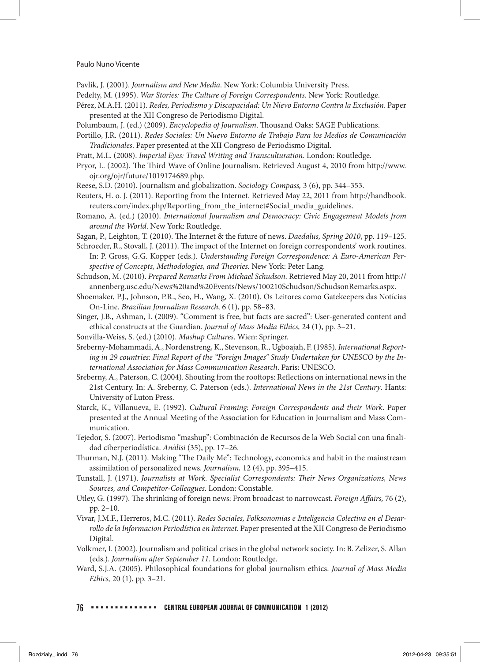Pavlik, J. (2001). *Journalism and New Media*. New York: Columbia University Press.

Pedelty, M. (1995). *War Stories: The Culture of Foreign Correspondents*. New York: Routledge.

- Pérez, M.A.H. (2011). *Redes, Periodismo y Discapacidad: Un Nievo Entorno Contra la Exclusión*. Paper presented at the XII Congreso de Periodismo Digital.
- Polumbaum, J. (ed.) (2009). *Encyclopedia of Journalism*. Thousand Oaks: SAGE Publications.
- Portillo, J.R. (2011). *Redes Sociales: Un Nuevo Entorno de Trabajo Para los Medios de Comunicación Tradicionales*. Paper presented at the XII Congreso de Periodismo Digital.
- Pratt, M.L. (2008). *Imperial Eyes: Travel Writing and Transculturation*. London: Routledge.
- Pryor, L. (2002). The Third Wave of Online Journalism. Retrieved August 4, 2010 from http://www. ojr.org/ojr/future/1019174689.php.
- Reese, S.D. (2010). Journalism and globalization. *Sociology Compass,* 3 (6), pp. 344–353.
- Reuters, H. o. J. (2011). Reporting from the Internet. Retrieved May 22, 2011 from http://handbook. reuters.com/index.php/Reporting\_from\_the\_internet#Social\_media\_guidelines.
- Romano, A. (ed.) (2010). *International Journalism and Democracy: Civic Engagement Models from around the World*. New York: Routledge.
- Sagan, P., Leighton, T. (2010). The Internet & the future of news. *Daedalus, Spring 2010*, pp. 119–125.
- Schroeder, R., Stovall, J. (2011). The impact of the Internet on foreign correspondents' work routines. In: P. Gross, G.G. Kopper (eds.). *Understanding Foreign Correspondence: A Euro-American Perspective of Concepts, Methodologies, and Theories*. New York: Peter Lang.
- Schudson, M. (2010). *Prepared Remarks From Michael Schudson*. Retrieved May 20, 2011 from http:// annenberg.usc.edu/News%20and%20Events/News/100210Schudson/SchudsonRemarks.aspx.
- Shoemaker, P.J., Johnson, P.R., Seo, H., Wang, X. (2010). Os Leitores como Gatekeepers das Notícias On-Line. *Brazilian Journalism Research,* 6 (1), pp. 58–83.
- Singer, J.B., Ashman, I. (2009). "Comment is free, but facts are sacred": User-generated content and ethical constructs at the Guardian. *Journal of Mass Media Ethics,* 24 (1), pp. 3–21.
- Sonvilla-Weiss, S. (ed.) (2010). *Mashup Cultures*. Wien: Springer.
- Sreberny-Mohammadi, A., Nordenstreng, K., Stevenson, R., Ugboajah, F. (1985). *International Reporting in 29 countries: Final Report of the "Foreign Images" Study Undertaken for UNESCO by the International Association for Mass Communication Research*. Paris: UNESCO.
- Sreberny, A., Paterson, C. (2004). Shouting from the rooftops: Reflections on international news in the 21st Century. In: A. Sreberny, C. Paterson (eds.). *International News in the 21st Century*. Hants: University of Luton Press.
- Starck, K., Villanueva, E. (1992). *Cultural Framing: Foreign Correspondents and their Work*. Paper presented at the Annual Meeting of the Association for Education in Journalism and Mass Communication.
- Tejedor, S. (2007). Periodismo "mashup": Combinación de Recursos de la Web Social con una finalidad ciberperiodística. *Anàlisi* (35), pp. 17–26.
- Thurman, N.J. (2011). Making "The Daily Me": Technology, economics and habit in the mainstream assimilation of personalized news. *Journalism,* 12 (4), pp. 395–415.
- Tunstall, J. (1971). *Journalists at Work. Specialist Correspondents: Their News Organizations, News Sources, and Competitor-Colleagues*. London: Constable.
- Utley, G. (1997). The shrinking of foreign news: From broadcast to narrowcast. *Foreign Affairs,* 76 (2), pp. 2–10.
- Vivar, J.M.F., Herreros, M.C. (2011). *Redes Sociales, Folksonomias e Inteligencia Colectiva en el Desarrollo de la Informacion Periodística en Internet*. Paper presented at the XII Congreso de Periodismo Digital.
- Volkmer, I. (2002). Journalism and political crises in the global network society. In: B. Zelizer, S. Allan (eds.). *Journalism after September 11*. London: Routledge.
- Ward, S.J.A. (2005). Philosophical foundations for global journalism ethics. *Journal of Mass Media Ethics,* 20 (1), pp. 3–21.